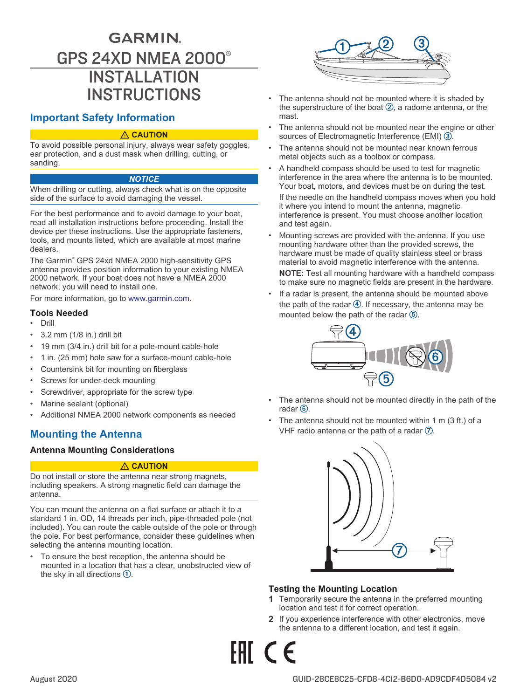# <span id="page-0-0"></span>**GARMIN.** GPS 24XD NMEA 2000® INSTALLATION **INSTRUCTIONS**

# **Important Safety Information**

#### **CAUTION**

To avoid possible personal injury, always wear safety goggles, ear protection, and a dust mask when drilling, cutting, or sanding.

#### *NOTICE*

When drilling or cutting, always check what is on the opposite side of the surface to avoid damaging the vessel.

For the best performance and to avoid damage to your boat, read all installation instructions before proceeding. Install the device per these instructions. Use the appropriate fasteners, tools, and mounts listed, which are available at most marine dealers.

The Garmin® GPS 24xd NMEA 2000 high-sensitivity GPS antenna provides position information to your existing NMEA 2000 network. If your boat does not have a NMEA 2000 network, you will need to install one.

For more information, go to [www.garmin.com](http://www.support.garmin.com).

# **Tools Needed**

- Drill
- 3.2 mm (1/8 in.) drill bit
- 19 mm (3/4 in.) drill bit for a pole-mount cable-hole
- 1 in. (25 mm) hole saw for a surface-mount cable-hole
- Countersink bit for mounting on fiberglass
- Screws for under-deck mounting
- Screwdriver, appropriate for the screw type
- Marine sealant (optional)
- Additional NMEA 2000 network components as needed

# **Mounting the Antenna**

## **Antenna Mounting Considerations**

#### **CAUTION**

Do not install or store the antenna near strong magnets, including speakers. A strong magnetic field can damage the antenna.

You can mount the antenna on a flat surface or attach it to a standard 1 in. OD, 14 threads per inch, pipe-threaded pole (not included). You can route the cable outside of the pole or through the pole. For best performance, consider these guidelines when selecting the antenna mounting location.

• To ensure the best reception, the antenna should be mounted in a location that has a clear, unobstructed view of the sky in all directions  $\mathbb{O}$ .



- The antenna should not be mounted where it is shaded by the superstructure of the boat  $(2)$ , a radome antenna, or the mast.
- The antenna should not be mounted near the engine or other sources of Electromagnetic Interference (EMI) 3.
- The antenna should not be mounted near known ferrous metal objects such as a toolbox or compass.
- A handheld compass should be used to test for magnetic interference in the area where the antenna is to be mounted. Your boat, motors, and devices must be on during the test.

If the needle on the handheld compass moves when you hold it where you intend to mount the antenna, magnetic interference is present. You must choose another location and test again.

• Mounting screws are provided with the antenna. If you use mounting hardware other than the provided screws, the hardware must be made of quality stainless steel or brass material to avoid magnetic interference with the antenna.

**NOTE:** Test all mounting hardware with a handheld compass to make sure no magnetic fields are present in the hardware.

If a radar is present, the antenna should be mounted above the path of the radar  $\overline{4}$ . If necessary, the antenna may be mounted below the path of the radar  $(5)$ .



- The antenna should not be mounted directly in the path of the radar $(6)$ .
- The antenna should not be mounted within 1 m  $(3 ft.)$  of a VHF radio antenna or the path of a radar  $\mathcal{D}$ .



# **Testing the Mounting Location**

- **1** Temporarily secure the antenna in the preferred mounting location and test it for correct operation.
- **2** If you experience interference with other electronics, move the antenna to a different location, and test it again.

FHT C <del>C</del>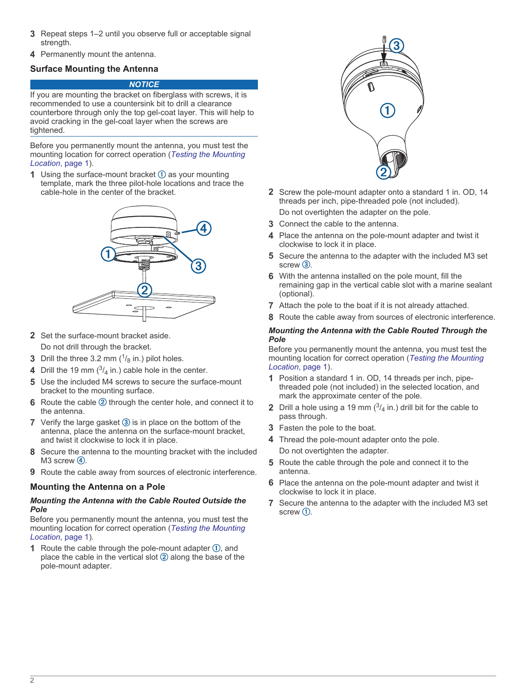- **3** Repeat steps 1–2 until you observe full or acceptable signal strength.
- **4** Permanently mount the antenna.

# **Surface Mounting the Antenna**

#### *NOTICE*

If you are mounting the bracket on fiberglass with screws, it is recommended to use a countersink bit to drill a clearance counterbore through only the top gel-coat layer. This will help to avoid cracking in the gel-coat layer when the screws are tightened.

Before you permanently mount the antenna, you must test the mounting location for correct operation (*[Testing the Mounting](#page-0-0) [Location](#page-0-0)*, page 1).

**1** Using the surface-mount bracket  $\Omega$  as your mounting template, mark the three pilot-hole locations and trace the cable-hole in the center of the bracket.



- **2** Set the surface-mount bracket aside. Do not drill through the bracket.
- **3** Drill the three 3.2 mm  $(^{1}/_8$  in.) pilot holes.
- **4** Drill the 19 mm  $\binom{3}{4}$  in.) cable hole in the center.
- **5** Use the included M4 screws to secure the surface-mount bracket to the mounting surface.
- **6** Route the cable 2 through the center hole, and connect it to the antenna.
- **7** Verify the large gasket  $\circled{3}$  is in place on the bottom of the antenna, place the antenna on the surface-mount bracket, and twist it clockwise to lock it in place.
- **8** Secure the antenna to the mounting bracket with the included  $M3$  screw  $(4)$ .
- **9** Route the cable away from sources of electronic interference.

# **Mounting the Antenna on a Pole**

#### *Mounting the Antenna with the Cable Routed Outside the Pole*

Before you permanently mount the antenna, you must test the mounting location for correct operation (*[Testing the Mounting](#page-0-0) [Location](#page-0-0)*, page 1).

**1** Route the cable through the pole-mount adapter  $\Phi$ , and place the cable in the vertical slot  $\oslash$  along the base of the pole-mount adapter.



**2** Screw the pole-mount adapter onto a standard 1 in. OD, 14 threads per inch, pipe-threaded pole (not included).

Do not overtighten the adapter on the pole.

- **3** Connect the cable to the antenna.
- **4** Place the antenna on the pole-mount adapter and twist it clockwise to lock it in place.
- **5** Secure the antenna to the adapter with the included M3 set  $screw$   $(3)$
- **6** With the antenna installed on the pole mount, fill the remaining gap in the vertical cable slot with a marine sealant (optional).
- **7** Attach the pole to the boat if it is not already attached.
- **8** Route the cable away from sources of electronic interference.

#### *Mounting the Antenna with the Cable Routed Through the Pole*

Before you permanently mount the antenna, you must test the mounting location for correct operation (*[Testing the Mounting](#page-0-0)  [Location](#page-0-0)*, page 1).

- **1** Position a standard 1 in. OD, 14 threads per inch, pipethreaded pole (not included) in the selected location, and mark the approximate center of the pole.
- **2** Drill a hole using a 19 mm  $\binom{3}{4}$  in.) drill bit for the cable to pass through.
- **3** Fasten the pole to the boat.
- **4** Thread the pole-mount adapter onto the pole. Do not overtighten the adapter.
- **5** Route the cable through the pole and connect it to the antenna.
- **6** Place the antenna on the pole-mount adapter and twist it clockwise to lock it in place.
- **7** Secure the antenna to the adapter with the included M3 set screw  $\mathcal{D}$ .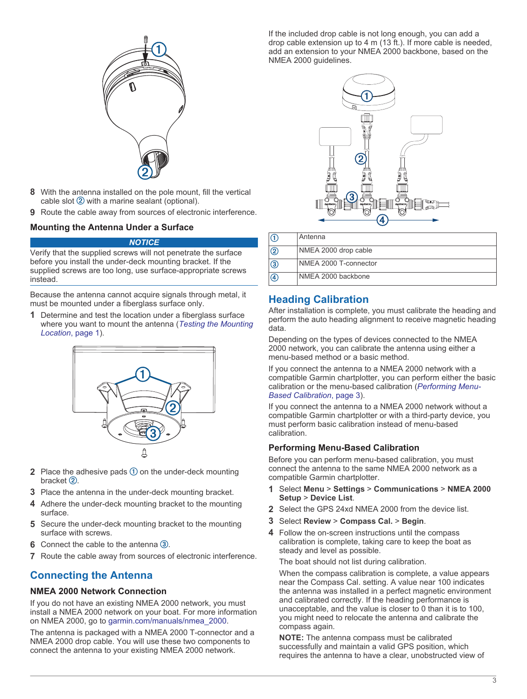

- **8** With the antenna installed on the pole mount, fill the vertical cable slot  $(2)$  with a marine sealant (optional).
- **9** Route the cable away from sources of electronic interference.

#### **Mounting the Antenna Under a Surface**

#### *NOTICE*

Verify that the supplied screws will not penetrate the surface before you install the under-deck mounting bracket. If the supplied screws are too long, use surface-appropriate screws instead.

Because the antenna cannot acquire signals through metal, it must be mounted under a fiberglass surface only.

**1** Determine and test the location under a fiberglass surface where you want to mount the antenna (*[Testing the Mounting](#page-0-0) [Location](#page-0-0)*, page 1).



- **2** Place the adhesive pads  $\overline{1}$  on the under-deck mounting bracket $(2)$ .
- **3** Place the antenna in the under-deck mounting bracket.
- **4** Adhere the under-deck mounting bracket to the mounting surface.
- **5** Secure the under-deck mounting bracket to the mounting surface with screws.
- **6** Connect the cable to the antenna 3.
- **7** Route the cable away from sources of electronic interference.

# **Connecting the Antenna**

#### **NMEA 2000 Network Connection**

If you do not have an existing NMEA 2000 network, you must install a NMEA 2000 network on your boat. For more information on NMEA 2000, go to [garmin.com/manuals/nmea\\_2000](http://www.garmin.com/manuals/nmea_2000).

The antenna is packaged with a NMEA 2000 T-connector and a NMEA 2000 drop cable. You will use these two components to connect the antenna to your existing NMEA 2000 network.

If the included drop cable is not long enough, you can add a drop cable extension up to 4 m (13 ft.). If more cable is needed, add an extension to your NMEA 2000 backbone, based on the NMEA 2000 quidelines.



| lG                  | Antenna               |
|---------------------|-----------------------|
| $\overline{\Omega}$ | NMEA 2000 drop cable  |
| $\sqrt{3}$          | NMEA 2000 T-connector |
| $\overline{A}$      | NMEA 2000 backbone    |

# **Heading Calibration**

After installation is complete, you must calibrate the heading and perform the auto heading alignment to receive magnetic heading data.

Depending on the types of devices connected to the NMEA 2000 network, you can calibrate the antenna using either a menu-based method or a basic method.

If you connect the antenna to a NMEA 2000 network with a compatible Garmin chartplotter, you can perform either the basic calibration or the menu-based calibration (*Performing Menu-Based Calibration*, page 3).

If you connect the antenna to a NMEA 2000 network without a compatible Garmin chartplotter or with a third-party device, you must perform basic calibration instead of menu-based calibration.

## **Performing Menu-Based Calibration**

Before you can perform menu-based calibration, you must connect the antenna to the same NMEA 2000 network as a compatible Garmin chartplotter.

- **1** Select **Menu** > **Settings** > **Communications** > **NMEA 2000 Setup** > **Device List**.
- **2** Select the GPS 24xd NMEA 2000 from the device list.
- **3** Select **Review** > **Compass Cal.** > **Begin**.
- **4** Follow the on-screen instructions until the compass calibration is complete, taking care to keep the boat as steady and level as possible.

The boat should not list during calibration.

When the compass calibration is complete, a value appears near the Compass Cal. setting. A value near 100 indicates the antenna was installed in a perfect magnetic environment and calibrated correctly. If the heading performance is unacceptable, and the value is closer to 0 than it is to 100, you might need to relocate the antenna and calibrate the compass again.

**NOTE:** The antenna compass must be calibrated successfully and maintain a valid GPS position, which requires the antenna to have a clear, unobstructed view of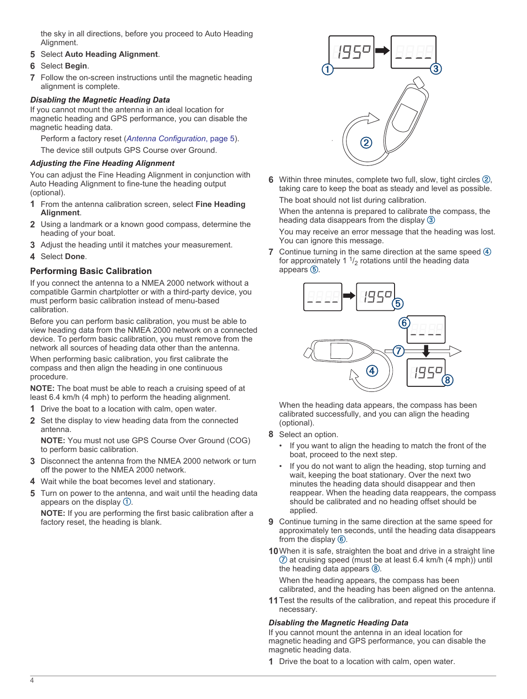the sky in all directions, before you proceed to Auto Heading Alignment.

- **5** Select **Auto Heading Alignment**.
- **6** Select **Begin**.
- **7** Follow the on-screen instructions until the magnetic heading alignment is complete.

# *Disabling the Magnetic Heading Data*

If you cannot mount the antenna in an ideal location for magnetic heading and GPS performance, you can disable the magnetic heading data.

Perform a factory reset (*[Antenna Configuration](#page-4-0)*, page 5). The device still outputs GPS Course over Ground.

# *Adjusting the Fine Heading Alignment*

You can adjust the Fine Heading Alignment in conjunction with Auto Heading Alignment to fine-tune the heading output (optional).

- **1** From the antenna calibration screen, select **Fine Heading Alignment**.
- **2** Using a landmark or a known good compass, determine the heading of your boat.
- **3** Adjust the heading until it matches your measurement.
- **4** Select **Done**.

# **Performing Basic Calibration**

If you connect the antenna to a NMEA 2000 network without a compatible Garmin chartplotter or with a third-party device, you must perform basic calibration instead of menu-based calibration.

Before you can perform basic calibration, you must be able to view heading data from the NMEA 2000 network on a connected device. To perform basic calibration, you must remove from the network all sources of heading data other than the antenna.

When performing basic calibration, you first calibrate the compass and then align the heading in one continuous procedure.

**NOTE:** The boat must be able to reach a cruising speed of at least 6.4 km/h (4 mph) to perform the heading alignment.

- **1** Drive the boat to a location with calm, open water.
- **2** Set the display to view heading data from the connected antenna.

**NOTE:** You must not use GPS Course Over Ground (COG) to perform basic calibration.

- **3** Disconnect the antenna from the NMEA 2000 network or turn off the power to the NMEA 2000 network.
- **4** Wait while the boat becomes level and stationary.
- **5** Turn on power to the antenna, and wait until the heading data appears on the display  $\mathcal{D}$ .

**NOTE:** If you are performing the first basic calibration after a factory reset, the heading is blank.



**6** Within three minutes, complete two full, slow, tight circles 2, taking care to keep the boat as steady and level as possible. The boat should not list during calibration.

When the antenna is prepared to calibrate the compass, the heading data disappears from the display 3

You may receive an error message that the heading was lost. You can ignore this message.

**7** Continue turning in the same direction at the same speed  $\overline{4}$ for approximately 1  $\frac{1}{2}$  rotations until the heading data appears  $(5)$ .



When the heading data appears, the compass has been calibrated successfully, and you can align the heading (optional).

- **8** Select an option.
	- If you want to align the heading to match the front of the boat, proceed to the next step.
	- If you do not want to align the heading, stop turning and wait, keeping the boat stationary. Over the next two minutes the heading data should disappear and then reappear. When the heading data reappears, the compass should be calibrated and no heading offset should be applied.
- **9** Continue turning in the same direction at the same speed for approximately ten seconds, until the heading data disappears from the display  $(6)$ .
- **10**When it is safe, straighten the boat and drive in a straight line  $\overline{O}$  at cruising speed (must be at least 6.4 km/h (4 mph)) until the heading data appears  $\circledR$ .

When the heading appears, the compass has been calibrated, and the heading has been aligned on the antenna.

**11**Test the results of the calibration, and repeat this procedure if necessary.

## *Disabling the Magnetic Heading Data*

If you cannot mount the antenna in an ideal location for magnetic heading and GPS performance, you can disable the magnetic heading data.

**1** Drive the boat to a location with calm, open water.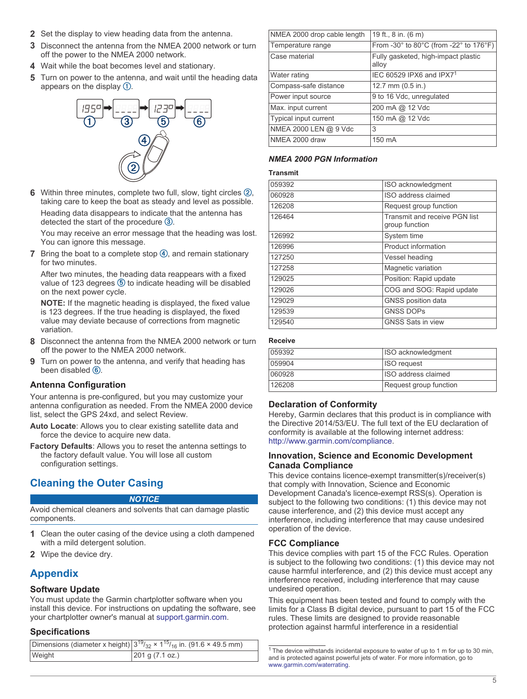- <span id="page-4-0"></span>**2** Set the display to view heading data from the antenna.
- **3** Disconnect the antenna from the NMEA 2000 network or turn off the power to the NMEA 2000 network.
- **4** Wait while the boat becomes level and stationary.
- **5** Turn on power to the antenna, and wait until the heading data appears on the display  $$\mathbb{O}$ .$



**6** Within three minutes, complete two full, slow, tight circles 2, taking care to keep the boat as steady and level as possible.

Heading data disappears to indicate that the antenna has detected the start of the procedure  $\circled{3}$ .

You may receive an error message that the heading was lost. You can ignore this message.

**7** Bring the boat to a complete stop 4, and remain stationary for two minutes.

After two minutes, the heading data reappears with a fixed value of 123 degrees  $\circledS$  to indicate heading will be disabled on the next power cycle.

**NOTE:** If the magnetic heading is displayed, the fixed value is 123 degrees. If the true heading is displayed, the fixed value may deviate because of corrections from magnetic variation.

- **8** Disconnect the antenna from the NMEA 2000 network or turn off the power to the NMEA 2000 network.
- **9** Turn on power to the antenna, and verify that heading has been disabled  $(6)$ .

# **Antenna Configuration**

Your antenna is pre-configured, but you may customize your antenna configuration as needed. From the NMEA 2000 device list, select the GPS 24xd, and select Review.

- **Auto Locate**: Allows you to clear existing satellite data and force the device to acquire new data.
- **Factory Defaults**: Allows you to reset the antenna settings to the factory default value. You will lose all custom configuration settings.

# **Cleaning the Outer Casing**

#### *NOTICE*

Avoid chemical cleaners and solvents that can damage plastic components.

- **1** Clean the outer casing of the device using a cloth dampened with a mild detergent solution.
- **2** Wipe the device dry.

# **Appendix**

## **Software Update**

You must update the Garmin chartplotter software when you install this device. For instructions on updating the software, see your chartplotter owner's manual at [support.garmin.com](http://support.garmin.com).

## **Specifications**

|        | Dimensions (diameter x height) $3^{19}/_{32} \times 1^{15}/_{16}$ in. (91.6 $\times$ 49.5 mm) |  |  |  |
|--------|-----------------------------------------------------------------------------------------------|--|--|--|
| Weight | 201 g (7.1 oz.)                                                                               |  |  |  |

| NMEA 2000 drop cable length | 19 ft., 8 in. (6 m)                          |  |  |  |
|-----------------------------|----------------------------------------------|--|--|--|
| Temperature range           | From -30° to 80°C (from -22° to 176°F)       |  |  |  |
| Case material               | Fully gasketed, high-impact plastic<br>alloy |  |  |  |
| Water rating                | IEC 60529 IPX6 and IPX71                     |  |  |  |
| Compass-safe distance       | 12.7 mm $(0.5$ in.)                          |  |  |  |
| Power input source          | 9 to 16 Vdc, unregulated                     |  |  |  |
| Max. input current          | 200 mA @ 12 Vdc                              |  |  |  |
| Typical input current       | 150 mA @ 12 Vdc                              |  |  |  |
| NMEA 2000 LEN @ 9 Vdc       | 3                                            |  |  |  |
| NMEA 2000 draw              | 150 mA                                       |  |  |  |

# *NMEA 2000 PGN Information*

#### **Transmit**

| 059392 | ISO acknowledgment                              |  |  |  |
|--------|-------------------------------------------------|--|--|--|
| 060928 | ISO address claimed                             |  |  |  |
| 126208 | Request group function                          |  |  |  |
| 126464 | Transmit and receive PGN list<br>group function |  |  |  |
| 126992 | System time                                     |  |  |  |
| 126996 | Product information                             |  |  |  |
| 127250 | Vessel heading                                  |  |  |  |
| 127258 | Magnetic variation                              |  |  |  |
| 129025 | Position: Rapid update                          |  |  |  |
| 129026 | COG and SOG: Rapid update                       |  |  |  |
| 129029 | GNSS position data                              |  |  |  |
| 129539 | <b>GNSS DOPS</b>                                |  |  |  |
| 129540 | <b>GNSS Sats in view</b>                        |  |  |  |
|        |                                                 |  |  |  |

#### **Receive**

| 059392 | ISO acknowledgment     |
|--------|------------------------|
| 059904 | <b>ISO</b> request     |
| 060928 | ISO address claimed    |
| 126208 | Request group function |

## **Declaration of Conformity**

Hereby, Garmin declares that this product is in compliance with the Directive 2014/53/EU. The full text of the EU declaration of conformity is available at the following internet address: <http://www.garmin.com/compliance>.

#### **Innovation, Science and Economic Development Canada Compliance**

This device contains licence-exempt transmitter(s)/receiver(s) that comply with Innovation, Science and Economic Development Canada's licence-exempt RSS(s). Operation is subject to the following two conditions: (1) this device may not cause interference, and (2) this device must accept any interference, including interference that may cause undesired operation of the device.

## **FCC Compliance**

This device complies with part 15 of the FCC Rules. Operation is subject to the following two conditions: (1) this device may not cause harmful interference, and (2) this device must accept any interference received, including interference that may cause undesired operation.

This equipment has been tested and found to comply with the limits for a Class B digital device, pursuant to part 15 of the FCC rules. These limits are designed to provide reasonable protection against harmful interference in a residential

<sup>&</sup>lt;sup>1</sup> The device withstands incidental exposure to water of up to 1 m for up to 30 min, and is protected against powerful jets of water. For more information, go to [www.garmin.com/waterrating.](http://www.garmin.com/waterrating)